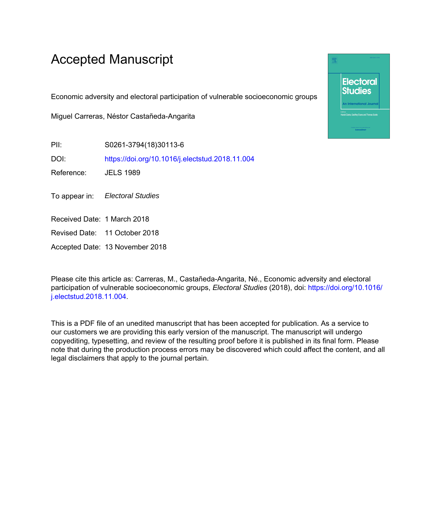# Accepted Manuscript

Economic adversity and electoral participation of vulnerable socioeconomic groups

Miguel Carreras, Néstor Castañeda-Angarita

PII: S0261-3794(18)30113-6

DOI: <https://doi.org/10.1016/j.electstud.2018.11.004>

Reference: JELS 1989

To appear in: Electoral Studies

Received Date: 1 March 2018

Revised Date: 11 October 2018

Accepted Date: 13 November 2018

Please cite this article as: Carreras, M., Castañeda-Angarita, Né., Economic adversity and electoral participation of vulnerable socioeconomic groups, *Electoral Studies* (2018), doi: [https://doi.org/10.1016/](https://doi.org/10.1016/j.electstud.2018.11.004) [j.electstud.2018.11.004](https://doi.org/10.1016/j.electstud.2018.11.004).

This is a PDF file of an unedited manuscript that has been accepted for publication. As a service to our customers we are providing this early version of the manuscript. The manuscript will undergo copyediting, typesetting, and review of the resulting proof before it is published in its final form. Please note that during the production process errors may be discovered which could affect the content, and all legal disclaimers that apply to the journal pertain.

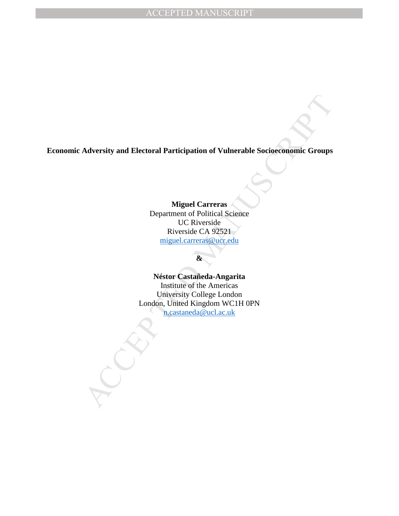**Economic Adversity and Electoral Participation of Vulnerable Socioeconomic Groups**

**Miguel Carreras**  Department of Political Science UC Riverside Riverside CA 92521 [miguel.carreras@ucr.edu](mailto:miguel.carreras@ucr.edu)

# **&**

Material Participation of Vulnerable Socioeconomic Groups<br>
Miguel Curreras<br>
Department of Political Science<br>
UC Riverside CA 92521<br>
miguel.carreras@ucredu<br> **a**<br>
Néstor Castafieda-Angarita<br>
Institute of the America<br>
London, **Néstor Castañeda-Angarita** Institute of the Americas University College London London, United Kingdom WC1H 0PN [n.castaneda@ucl.ac.uk](mailto:n.castaneda@ucl.ac.uk)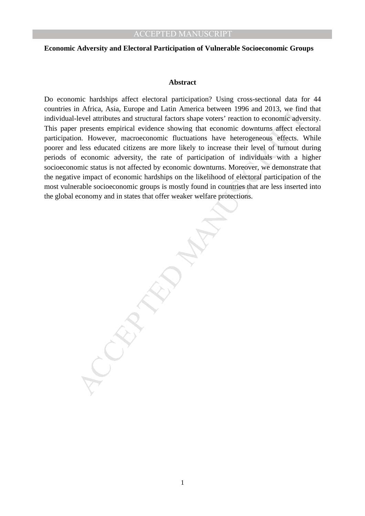#### **Economic Adversity and Electoral Participation of Vulnerable Socioeconomic Groups**

#### **Abstract**

n Armca, Assia, Livrope and Latin America between 1996 and 2013, we move<br>clevel attributes and structural factors shape voters' reaction to economic adve<br>presents empirical evidence showing that economic downtums affect el Do economic hardships affect electoral participation? Using cross-sectional data for 44 countries in Africa, Asia, Europe and Latin America between 1996 and 2013, we find that individual-level attributes and structural factors shape voters' reaction to economic adversity. This paper presents empirical evidence showing that economic downturns affect electoral participation. However, macroeconomic fluctuations have heterogeneous effects. While poorer and less educated citizens are more likely to increase their level of turnout during periods of economic adversity, the rate of participation of individuals with a higher socioeconomic status is not affected by economic downturns. Moreover, we demonstrate that the negative impact of economic hardships on the likelihood of electoral participation of the most vulnerable socioeconomic groups is mostly found in countries that are less inserted into the global economy and in states that offer weaker welfare protections.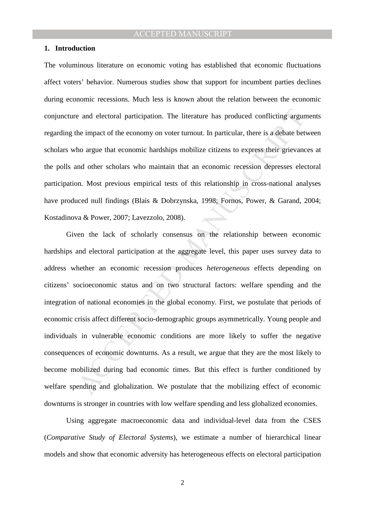#### **1. Introduction**

The voluminous literature on economic voting has established that economic fluctuations affect voters' behavior. Numerous studies show that support for incumbent parties declines during economic recessions. Much less is known about the relation between the economic conjuncture and electoral participation. The literature has produced conflicting arguments regarding the impact of the economy on voter turnout. In particular, there is a debate between scholars who argue that economic hardships mobilize citizens to express their grievances at the polls and other scholars who maintain that an economic recession depresses electoral participation. Most previous empirical tests of this relationship in cross-national analyses have produced null findings (Blais & Dobrzynska, 1998; Fornos, Power, & Garand, 2004; Kostadinova & Power, 2007; Lavezzolo, 2008).

e and electoral participation. The literature has produced conflicting argument eimpact of the economy on voter turnout. In particular, there is a debate bet to argue that economic hardships mobilize citizens to express th Given the lack of scholarly consensus on the relationship between economic hardships and electoral participation at the aggregate level, this paper uses survey data to address whether an economic recession produces *heterogeneous* effects depending on citizens' socioeconomic status and on two structural factors: welfare spending and the integration of national economies in the global economy. First, we postulate that periods of economic crisis affect different socio-demographic groups asymmetrically. Young people and individuals in vulnerable economic conditions are more likely to suffer the negative consequences of economic downturns. As a result, we argue that they are the most likely to become mobilized during bad economic times. But this effect is further conditioned by welfare spending and globalization. We postulate that the mobilizing effect of economic downturns is stronger in countries with low welfare spending and less globalized economies.

Using aggregate macroeconomic data and individual-level data from the CSES (*Comparative Study of Electoral Systems*), we estimate a number of hierarchical linear models and show that economic adversity has heterogeneous effects on electoral participation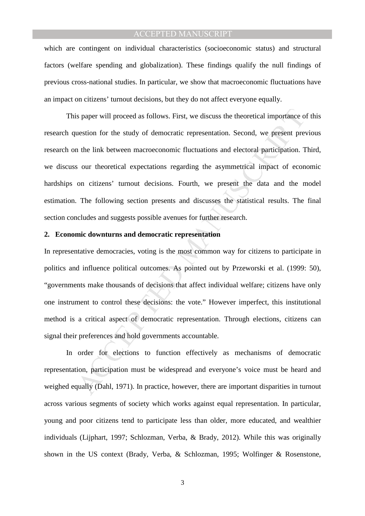which are contingent on individual characteristics (socioeconomic status) and structural factors (welfare spending and globalization). These findings qualify the null findings of previous cross-national studies. In particular, we show that macroeconomic fluctuations have an impact on citizens' turnout decisions, but they do not affect everyone equally.

is paper will proceed as follows. First, we discuss the theoretical importance of uses<br>tion for the study of democratic representation. Second, we present pre-<br>the link between macroeconomic fluctuations and electoral part This paper will proceed as follows. First, we discuss the theoretical importance of this research question for the study of democratic representation. Second, we present previous research on the link between macroeconomic fluctuations and electoral participation. Third, we discuss our theoretical expectations regarding the asymmetrical impact of economic hardships on citizens' turnout decisions. Fourth, we present the data and the model estimation. The following section presents and discusses the statistical results. The final section concludes and suggests possible avenues for further research.

#### **2. Economic downturns and democratic representation**

In representative democracies, voting is the most common way for citizens to participate in politics and influence political outcomes. As pointed out by Przeworski et al. (1999: 50), "governments make thousands of decisions that affect individual welfare; citizens have only one instrument to control these decisions: the vote." However imperfect, this institutional method is a critical aspect of democratic representation. Through elections, citizens can signal their preferences and hold governments accountable.

In order for elections to function effectively as mechanisms of democratic representation, participation must be widespread and everyone's voice must be heard and weighed equally (Dahl, 1971). In practice, however, there are important disparities in turnout across various segments of society which works against equal representation. In particular, young and poor citizens tend to participate less than older, more educated, and wealthier individuals (Lijphart, 1997; Schlozman, Verba, & Brady, 2012). While this was originally shown in the US context (Brady, Verba, & Schlozman, 1995; Wolfinger & Rosenstone,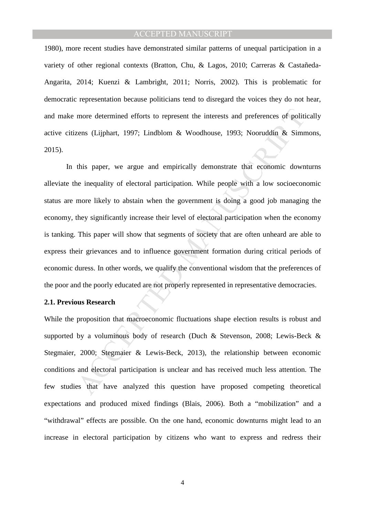1980), more recent studies have demonstrated similar patterns of unequal participation in a variety of other regional contexts (Bratton, Chu, & Lagos, 2010; Carreras & Castañeda-Angarita, 2014; Kuenzi & Lambright, 2011; Norris, 2002). This is problematic for democratic representation because politicians tend to disregard the voices they do not hear, and make more determined efforts to represent the interests and preferences of politically active citizens (Lijphart, 1997; Lindblom & Woodhouse, 1993; Nooruddin & Simmons, 2015).

more determined efforts to represent the interests and preferences of politizens (Lijphart, 1997; Lindblom & Woodhouse, 1993; Nooruddin & Simm<br>this paper, we argue and empirically demonstrate that economic down<br>the inequal In this paper, we argue and empirically demonstrate that economic downturns alleviate the inequality of electoral participation. While people with a low socioeconomic status are more likely to abstain when the government is doing a good job managing the economy, they significantly increase their level of electoral participation when the economy is tanking. This paper will show that segments of society that are often unheard are able to express their grievances and to influence government formation during critical periods of economic duress. In other words, we qualify the conventional wisdom that the preferences of the poor and the poorly educated are not properly represented in representative democracies.

#### **2.1. Previous Research**

While the proposition that macroeconomic fluctuations shape election results is robust and supported by a voluminous body of research (Duch & Stevenson, 2008; Lewis-Beck & Stegmaier, 2000; Stegmaier & Lewis-Beck, 2013), the relationship between economic conditions and electoral participation is unclear and has received much less attention. The few studies that have analyzed this question have proposed competing theoretical expectations and produced mixed findings (Blais, 2006). Both a "mobilization" and a "withdrawal" effects are possible. On the one hand, economic downturns might lead to an increase in electoral participation by citizens who want to express and redress their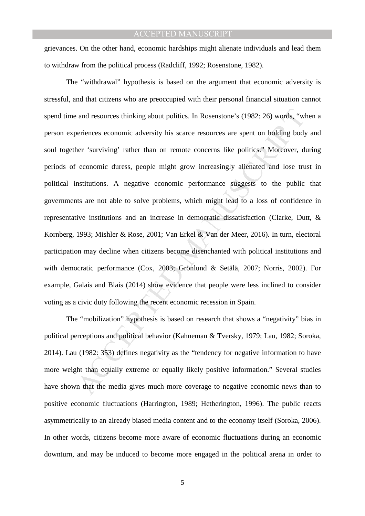grievances. On the other hand, economic hardships might alienate individuals and lead them to withdraw from the political process (Radcliff, 1992; Rosenstone, 1982).

and resources thinking about politics. In Rosenstone's (1982: 26) words, "where<br>reinces economic adversity his scarce resources are spent on holding body<br>her 'surviving' rather than on remote concerns like politics." Moreo The "withdrawal" hypothesis is based on the argument that economic adversity is stressful, and that citizens who are preoccupied with their personal financial situation cannot spend time and resources thinking about politics. In Rosenstone's (1982: 26) words, "when a person experiences economic adversity his scarce resources are spent on holding body and soul together 'surviving' rather than on remote concerns like politics." Moreover, during periods of economic duress, people might grow increasingly alienated and lose trust in political institutions. A negative economic performance suggests to the public that governments are not able to solve problems, which might lead to a loss of confidence in representative institutions and an increase in democratic dissatisfaction (Clarke, Dutt, & Kornberg, 1993; Mishler & Rose, 2001; Van Erkel & Van der Meer, 2016). In turn, electoral participation may decline when citizens become disenchanted with political institutions and with democratic performance (Cox, 2003; Grönlund & Setälä, 2007; Norris, 2002). For example, Galais and Blais (2014) show evidence that people were less inclined to consider voting as a civic duty following the recent economic recession in Spain.

The "mobilization" hypothesis is based on research that shows a "negativity" bias in political perceptions and political behavior (Kahneman & Tversky, 1979; Lau, 1982; Soroka, 2014). Lau (1982: 353) defines negativity as the "tendency for negative information to have more weight than equally extreme or equally likely positive information." Several studies have shown that the media gives much more coverage to negative economic news than to positive economic fluctuations (Harrington, 1989; Hetherington, 1996). The public reacts asymmetrically to an already biased media content and to the economy itself (Soroka, 2006). In other words, citizens become more aware of economic fluctuations during an economic downturn, and may be induced to become more engaged in the political arena in order to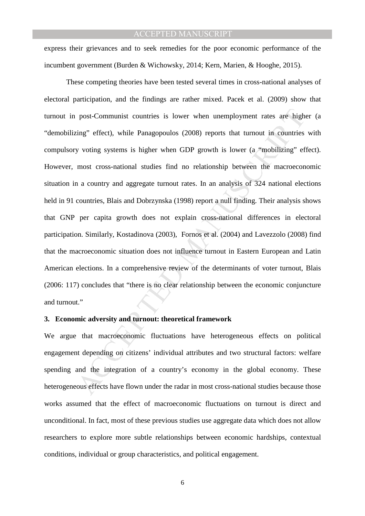express their grievances and to seek remedies for the poor economic performance of the incumbent government (Burden & Wichowsky, 2014; Kern, Marien, & Hooghe, 2015).

post-Communist countries is lower when unemployment rates are highing" effect), while Panagopoulos (2008) reports that turnout in countries y voting systems is higher when GDP growth is lower (a "mobilizing" effect), while These competing theories have been tested several times in cross-national analyses of electoral participation, and the findings are rather mixed. Pacek et al. (2009) show that turnout in post-Communist countries is lower when unemployment rates are higher (a "demobilizing" effect), while Panagopoulos (2008) reports that turnout in countries with compulsory voting systems is higher when GDP growth is lower (a "mobilizing" effect). However, most cross-national studies find no relationship between the macroeconomic situation in a country and aggregate turnout rates. In an analysis of 324 national elections held in 91 countries, Blais and Dobrzynska (1998) report a null finding. Their analysis shows that GNP per capita growth does not explain cross-national differences in electoral participation. Similarly, Kostadinova (2003), Fornos et al. (2004) and Lavezzolo (2008) find that the macroeconomic situation does not influence turnout in Eastern European and Latin American elections. In a comprehensive review of the determinants of voter turnout, Blais (2006: 117) concludes that "there is no clear relationship between the economic conjuncture and turnout."

## **3. Economic adversity and turnout: theoretical framework**

We argue that macroeconomic fluctuations have heterogeneous effects on political engagement depending on citizens' individual attributes and two structural factors: welfare spending and the integration of a country's economy in the global economy. These heterogeneous effects have flown under the radar in most cross-national studies because those works assumed that the effect of macroeconomic fluctuations on turnout is direct and unconditional. In fact, most of these previous studies use aggregate data which does not allow researchers to explore more subtle relationships between economic hardships, contextual conditions, individual or group characteristics, and political engagement.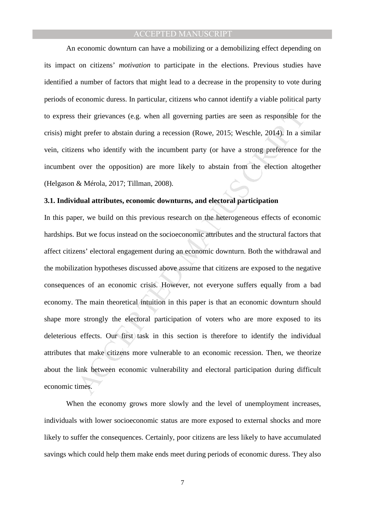An economic downturn can have a mobilizing or a demobilizing effect depending on its impact on citizens' *motivation* to participate in the elections. Previous studies have identified a number of factors that might lead to a decrease in the propensity to vote during periods of economic duress. In particular, citizens who cannot identify a viable political party to express their grievances (e.g. when all governing parties are seen as responsible for the crisis) might prefer to abstain during a recession (Rowe, 2015; Weschle, 2014). In a similar vein, citizens who identify with the incumbent party (or have a strong preference for the incumbent over the opposition) are more likely to abstain from the election altogether (Helgason & Mérola, 2017; Tillman, 2008).

#### **3.1. Individual attributes, economic downturns, and electoral participation**

their grievances (e.g. when all governing parties are seen as responsible for the prefer to abstain during a recession (Rowe, 2015; Weschle, 2014). In a sims who identify with the incumbent party (or have a strong preferen In this paper, we build on this previous research on the heterogeneous effects of economic hardships. But we focus instead on the socioeconomic attributes and the structural factors that affect citizens' electoral engagement during an economic downturn. Both the withdrawal and the mobilization hypotheses discussed above assume that citizens are exposed to the negative consequences of an economic crisis. However, not everyone suffers equally from a bad economy. The main theoretical intuition in this paper is that an economic downturn should shape more strongly the electoral participation of voters who are more exposed to its deleterious effects. Our first task in this section is therefore to identify the individual attributes that make citizens more vulnerable to an economic recession. Then, we theorize about the link between economic vulnerability and electoral participation during difficult economic times.

When the economy grows more slowly and the level of unemployment increases, individuals with lower socioeconomic status are more exposed to external shocks and more likely to suffer the consequences. Certainly, poor citizens are less likely to have accumulated savings which could help them make ends meet during periods of economic duress. They also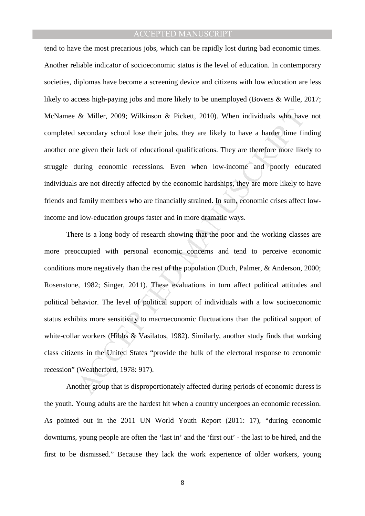tend to have the most precarious jobs, which can be rapidly lost during bad economic times. Another reliable indicator of socioeconomic status is the level of education. In contemporary societies, diplomas have become a screening device and citizens with low education are less likely to access high-paying jobs and more likely to be unemployed (Bovens & Wille, 2017; McNamee & Miller, 2009; Wilkinson & Pickett, 2010). When individuals who have not completed secondary school lose their jobs, they are likely to have a harder time finding another one given their lack of educational qualifications. They are therefore more likely to struggle during economic recessions. Even when low-income and poorly educated individuals are not directly affected by the economic hardships, they are more likely to have friends and family members who are financially strained. In sum, economic crises affect lowincome and low-education groups faster and in more dramatic ways.

& Miller, 2009; Wilkinson & Pickett, 2010). When individuals who have secondary school lose their jobs, they are likely to have a harder time fire given their lack of educational qualifications. They are therefore more lik There is a long body of research showing that the poor and the working classes are more preoccupied with personal economic concerns and tend to perceive economic conditions more negatively than the rest of the population (Duch, Palmer, & Anderson, 2000; Rosenstone, 1982; Singer, 2011). These evaluations in turn affect political attitudes and political behavior. The level of political support of individuals with a low socioeconomic status exhibits more sensitivity to macroeconomic fluctuations than the political support of white-collar workers (Hibbs & Vasilatos, 1982). Similarly, another study finds that working class citizens in the United States "provide the bulk of the electoral response to economic recession" (Weatherford, 1978: 917).

Another group that is disproportionately affected during periods of economic duress is the youth. Young adults are the hardest hit when a country undergoes an economic recession. As pointed out in the 2011 UN World Youth Report (2011: 17), "during economic downturns, young people are often the 'last in' and the 'first out' - the last to be hired, and the first to be dismissed." Because they lack the work experience of older workers, young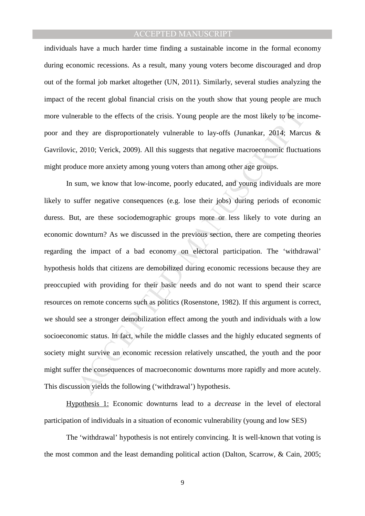individuals have a much harder time finding a sustainable income in the formal economy during economic recessions. As a result, many young voters become discouraged and drop out of the formal job market altogether (UN, 2011). Similarly, several studies analyzing the impact of the recent global financial crisis on the youth show that young people are much more vulnerable to the effects of the crisis. Young people are the most likely to be incomepoor and they are disproportionately vulnerable to lay-offs (Junankar, 2014; Marcus & Gavrilovic, 2010; Verick, 2009). All this suggests that negative macroeconomic fluctuations might produce more anxiety among young voters than among other age groups.

erable to the effects of the crisis. Young people are the most likely to be inc<br>they are disproportionately vulnerable to lay-offs (Junankar, 2014; Marcu<br>2010; Verick, 2009). All this suggests that negative macroeconomic f In sum, we know that low-income, poorly educated, and young individuals are more likely to suffer negative consequences (e.g. lose their jobs) during periods of economic duress. But, are these sociodemographic groups more or less likely to vote during an economic downturn? As we discussed in the previous section, there are competing theories regarding the impact of a bad economy on electoral participation. The 'withdrawal' hypothesis holds that citizens are demobilized during economic recessions because they are preoccupied with providing for their basic needs and do not want to spend their scarce resources on remote concerns such as politics (Rosenstone, 1982). If this argument is correct, we should see a stronger demobilization effect among the youth and individuals with a low socioeconomic status. In fact, while the middle classes and the highly educated segments of society might survive an economic recession relatively unscathed, the youth and the poor might suffer the consequences of macroeconomic downturns more rapidly and more acutely. This discussion yields the following ('withdrawal') hypothesis.

Hypothesis 1: Economic downturns lead to a *decrease* in the level of electoral participation of individuals in a situation of economic vulnerability (young and low SES)

The 'withdrawal' hypothesis is not entirely convincing. It is well-known that voting is the most common and the least demanding political action (Dalton, Scarrow, & Cain, 2005;

9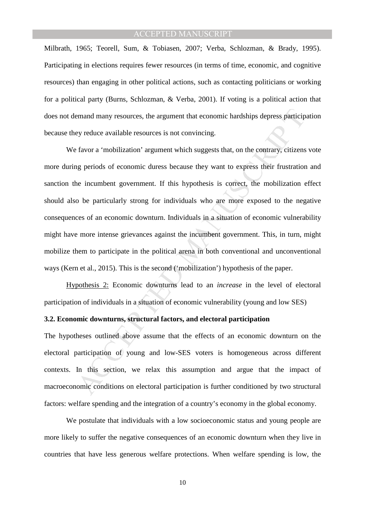Milbrath, 1965; Teorell, Sum, & Tobiasen, 2007; Verba, Schlozman, & Brady, 1995). Participating in elections requires fewer resources (in terms of time, economic, and cognitive resources) than engaging in other political actions, such as contacting politicians or working for a political party (Burns, Schlozman, & Verba, 2001). If voting is a political action that does not demand many resources, the argument that economic hardships depress participation because they reduce available resources is not convincing.

emand many resources, the argument that economic hardships depress particip<br>by reduce available resources is not convincing.<br>
favor a 'mobilization' argument which suggests that, on the contrary, citizens<br>
gy periods of ec We favor a 'mobilization' argument which suggests that, on the contrary, citizens vote more during periods of economic duress because they want to express their frustration and sanction the incumbent government. If this hypothesis is correct, the mobilization effect should also be particularly strong for individuals who are more exposed to the negative consequences of an economic downturn. Individuals in a situation of economic vulnerability might have more intense grievances against the incumbent government. This, in turn, might mobilize them to participate in the political arena in both conventional and unconventional ways (Kern et al., 2015). This is the second ('mobilization') hypothesis of the paper.

Hypothesis 2: Economic downturns lead to an *increase* in the level of electoral participation of individuals in a situation of economic vulnerability (young and low SES)

## **3.2. Economic downturns, structural factors, and electoral participation**

The hypotheses outlined above assume that the effects of an economic downturn on the electoral participation of young and low-SES voters is homogeneous across different contexts. In this section, we relax this assumption and argue that the impact of macroeconomic conditions on electoral participation is further conditioned by two structural factors: welfare spending and the integration of a country's economy in the global economy.

We postulate that individuals with a low socioeconomic status and young people are more likely to suffer the negative consequences of an economic downturn when they live in countries that have less generous welfare protections. When welfare spending is low, the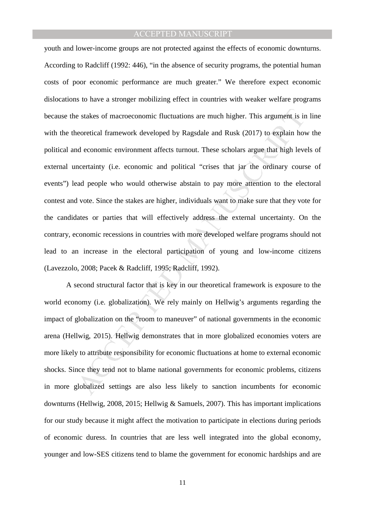e stakes of macroeconomic fluctuations are much higher. This argument is interestical framework developed by Ragsdale and Rusk (2017) to explain hot deconomic environment affects turnout. These scholars argue that high lev youth and lower-income groups are not protected against the effects of economic downturns. According to Radcliff (1992: 446), "in the absence of security programs, the potential human costs of poor economic performance are much greater." We therefore expect economic dislocations to have a stronger mobilizing effect in countries with weaker welfare programs because the stakes of macroeconomic fluctuations are much higher. This argument is in line with the theoretical framework developed by Ragsdale and Rusk (2017) to explain how the political and economic environment affects turnout. These scholars argue that high levels of external uncertainty (i.e. economic and political "crises that jar the ordinary course of events") lead people who would otherwise abstain to pay more attention to the electoral contest and vote. Since the stakes are higher, individuals want to make sure that they vote for the candidates or parties that will effectively address the external uncertainty. On the contrary, economic recessions in countries with more developed welfare programs should not lead to an increase in the electoral participation of young and low-income citizens (Lavezzolo, 2008; Pacek & Radcliff, 1995; Radcliff, 1992).

 A second structural factor that is key in our theoretical framework is exposure to the world economy (i.e. globalization). We rely mainly on Hellwig's arguments regarding the impact of globalization on the "room to maneuver" of national governments in the economic arena (Hellwig, 2015). Hellwig demonstrates that in more globalized economies voters are more likely to attribute responsibility for economic fluctuations at home to external economic shocks. Since they tend not to blame national governments for economic problems, citizens in more globalized settings are also less likely to sanction incumbents for economic downturns (Hellwig, 2008, 2015; Hellwig & Samuels, 2007). This has important implications for our study because it might affect the motivation to participate in elections during periods of economic duress. In countries that are less well integrated into the global economy, younger and low-SES citizens tend to blame the government for economic hardships and are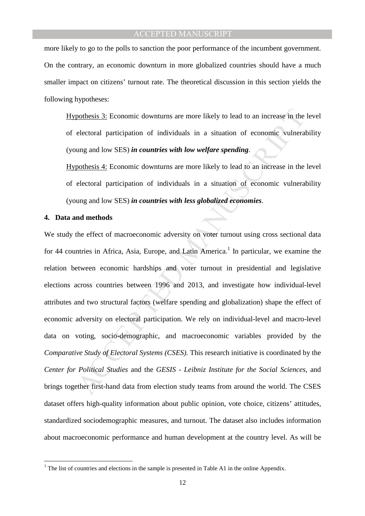more likely to go to the polls to sanction the poor performance of the incumbent government. On the contrary, an economic downturn in more globalized countries should have a much smaller impact on citizens' turnout rate. The theoretical discussion in this section yields the following hypotheses:

Hypothesis 3: Economic downturns are more likely to lead to an increase in the level of electoral participation of individuals in a situation of economic vulnerability (young and low SES) *in countries with low welfare spending*.

Hypothesis 4: Economic downturns are more likely to lead to an increase in the level of electoral participation of individuals in a situation of economic vulnerability (young and low SES) *in countries with less globalized economies*.

#### **4. Data and methods**

pothesis 3: Economic downturns are more likely to lead to an increase in the electoral participation of individuals in a situation of economic vulneral ung and low SES) *in countries with low welfare spending*.<br>
pothesis 4 We study the effect of macroeconomic adversity on voter turnout using cross sectional data for 44 countries in Africa, Asia, Europe, and Latin America.<sup>1</sup> In particular, we examine the relation between economic hardships and voter turnout in presidential and legislative elections across countries between 1996 and 2013, and investigate how individual-level attributes and two structural factors (welfare spending and globalization) shape the effect of economic adversity on electoral participation. We rely on individual-level and macro-level data on voting, socio-demographic, and macroeconomic variables provided by the *Comparative Study of Electoral Systems (CSES).* This research initiative is coordinated by the *Center for Political Studies* and the *GESIS - Leibniz Institute for the Social Sciences*, and brings together first-hand data from election study teams from around the world. The CSES dataset offers high-quality information about public opinion, vote choice, citizens' attitudes, standardized sociodemographic measures, and turnout. The dataset also includes information about macroeconomic performance and human development at the country level. As will be

<sup>&</sup>lt;sup>1</sup> The list of countries and elections in the sample is presented in Table A1 in the online Appendix.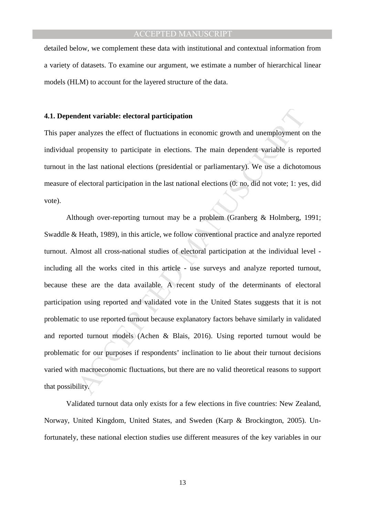detailed below, we complement these data with institutional and contextual information from a variety of datasets. To examine our argument, we estimate a number of hierarchical linear models (HLM) to account for the layered structure of the data.

#### **4.1. Dependent variable: electoral participation**

This paper analyzes the effect of fluctuations in economic growth and unemployment on the individual propensity to participate in elections. The main dependent variable is reported turnout in the last national elections (presidential or parliamentary). We use a dichotomous measure of electoral participation in the last national elections (0: no, did not vote; 1: yes, did vote).

ndent variable: electoral participation<br>
analyzes the effect of fluctuations in economic growth and unemployment o<br>
propensity to participate in elections. The main dependent variable is rep<br>
the last national elections (p Although over-reporting turnout may be a problem (Granberg & Holmberg, 1991; Swaddle & Heath, 1989), in this article, we follow conventional practice and analyze reported turnout. Almost all cross-national studies of electoral participation at the individual level including all the works cited in this article - use surveys and analyze reported turnout, because these are the data available. A recent study of the determinants of electoral participation using reported and validated vote in the United States suggests that it is not problematic to use reported turnout because explanatory factors behave similarly in validated and reported turnout models (Achen & Blais, 2016). Using reported turnout would be problematic for our purposes if respondents' inclination to lie about their turnout decisions varied with macroeconomic fluctuations, but there are no valid theoretical reasons to support that possibility.

Validated turnout data only exists for a few elections in five countries: New Zealand, Norway, United Kingdom, United States, and Sweden (Karp & Brockington, 2005). Unfortunately, these national election studies use different measures of the key variables in our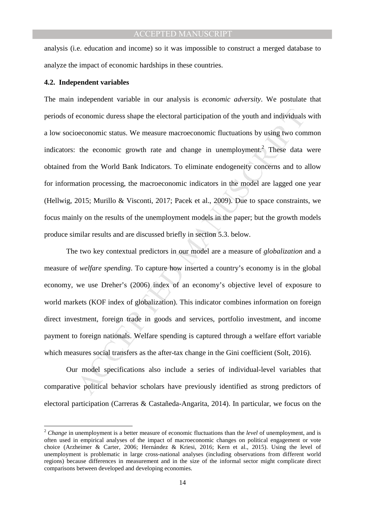analysis (i.e. education and income) so it was impossible to construct a merged database to analyze the impact of economic hardships in these countries.

#### **4.2. Independent variables**

 $\overline{a}$ 

economic duress shape the electoral participation of the youth and individuals<br>beconomic status. We measure macroeconomic fluctuations by using two con<br>the economic growth rate and change in unemployment.<sup>2</sup> These data<br>com The main independent variable in our analysis is *economic adversity*. We postulate that periods of economic duress shape the electoral participation of the youth and individuals with a low socioeconomic status. We measure macroeconomic fluctuations by using two common indicators: the economic growth rate and change in unemployment.<sup>2</sup> These data were obtained from the World Bank Indicators. To eliminate endogeneity concerns and to allow for information processing, the macroeconomic indicators in the model are lagged one year (Hellwig, 2015; Murillo & Visconti, 2017; Pacek et al., 2009). Due to space constraints, we focus mainly on the results of the unemployment models in the paper; but the growth models produce similar results and are discussed briefly in section 5.3. below.

The two key contextual predictors in our model are a measure of *globalization* and a measure of *welfare spending*. To capture how inserted a country's economy is in the global economy, we use Dreher's (2006) index of an economy's objective level of exposure to world markets (KOF index of globalization). This indicator combines information on foreign direct investment, foreign trade in goods and services, portfolio investment, and income payment to foreign nationals. Welfare spending is captured through a welfare effort variable which measures social transfers as the after-tax change in the Gini coefficient (Solt, 2016).

Our model specifications also include a series of individual-level variables that comparative political behavior scholars have previously identified as strong predictors of electoral participation (Carreras & Castañeda-Angarita, 2014). In particular, we focus on the

<sup>2</sup> *Change* in unemployment is a better measure of economic fluctuations than the *level* of unemployment, and is often used in empirical analyses of the impact of macroeconomic changes on political engagement or vote choice (Arzheimer & Carter, 2006; Hernández & Kriesi, 2016; Kern et al., 2015). Using the level of unemployment is problematic in large cross-national analyses (including observations from different world regions) because differences in measurement and in the size of the informal sector might complicate direct comparisons between developed and developing economies.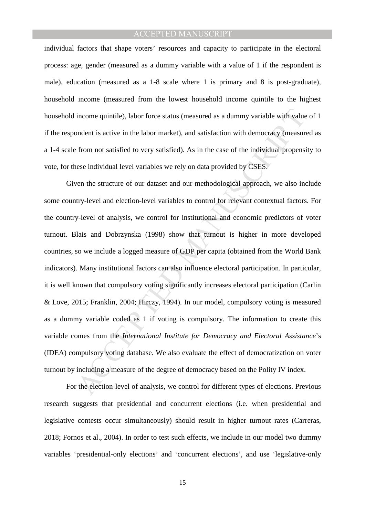individual factors that shape voters' resources and capacity to participate in the electoral process: age, gender (measured as a dummy variable with a value of 1 if the respondent is male), education (measured as a 1-8 scale where 1 is primary and 8 is post-graduate), household income (measured from the lowest household income quintile to the highest household income quintile), labor force status (measured as a dummy variable with value of 1 if the respondent is active in the labor market), and satisfaction with democracy (measured as a 1-4 scale from not satisfied to very satisfied). As in the case of the individual propensity to vote, for these individual level variables we rely on data provided by CSES.

income quintile), labor force status (measured as a dummy variable with value ondent is active in the labor market), and satisfaction with democracy (measur from not satisfied to very satisfied). As in the case of the indi Given the structure of our dataset and our methodological approach, we also include some country-level and election-level variables to control for relevant contextual factors. For the country-level of analysis, we control for institutional and economic predictors of voter turnout. Blais and Dobrzynska (1998) show that turnout is higher in more developed countries, so we include a logged measure of GDP per capita (obtained from the World Bank indicators). Many institutional factors can also influence electoral participation. In particular, it is well known that compulsory voting significantly increases electoral participation (Carlin & Love, 2015; Franklin, 2004; Hirczy, 1994). In our model, compulsory voting is measured as a dummy variable coded as 1 if voting is compulsory. The information to create this variable comes from the *International Institute for Democracy and Electoral Assistance*'s (IDEA) compulsory voting database. We also evaluate the effect of democratization on voter turnout by including a measure of the degree of democracy based on the Polity IV index.

For the election-level of analysis, we control for different types of elections. Previous research suggests that presidential and concurrent elections (i.e. when presidential and legislative contests occur simultaneously) should result in higher turnout rates (Carreras, 2018; Fornos et al., 2004). In order to test such effects, we include in our model two dummy variables 'presidential-only elections' and 'concurrent elections', and use 'legislative-only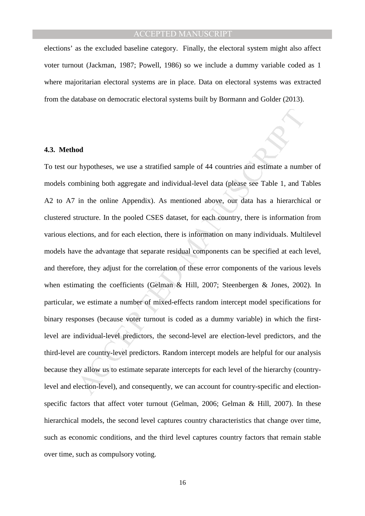elections' as the excluded baseline category. Finally, the electoral system might also affect voter turnout (Jackman, 1987; Powell, 1986) so we include a dummy variable coded as 1 where majoritarian electoral systems are in place. Data on electoral systems was extracted from the database on democratic electoral systems built by Bormann and Golder (2013).

#### **4.3. Method**

or hypotheses, we use a stratified sample of 44 countries and estimate a numb<br>mbining both aggregate and individual-level data (please see Table 1, and T<br>in the online Appendix). As mentioned above, our data has a hierarch To test our hypotheses, we use a stratified sample of 44 countries and estimate a number of models combining both aggregate and individual-level data (please see Table 1, and Tables A2 to A7 in the online Appendix). As mentioned above, our data has a hierarchical or clustered structure. In the pooled CSES dataset, for each country, there is information from various elections, and for each election, there is information on many individuals. Multilevel models have the advantage that separate residual components can be specified at each level, and therefore, they adjust for the correlation of these error components of the various levels when estimating the coefficients (Gelman & Hill, 2007; Steenbergen & Jones, 2002). In particular, we estimate a number of mixed-effects random intercept model specifications for binary responses (because voter turnout is coded as a dummy variable) in which the firstlevel are individual-level predictors, the second-level are election-level predictors, and the third-level are country-level predictors. Random intercept models are helpful for our analysis because they allow us to estimate separate intercepts for each level of the hierarchy (countrylevel and election-level), and consequently, we can account for country-specific and electionspecific factors that affect voter turnout (Gelman, 2006; Gelman & Hill, 2007). In these hierarchical models, the second level captures country characteristics that change over time, such as economic conditions, and the third level captures country factors that remain stable over time, such as compulsory voting.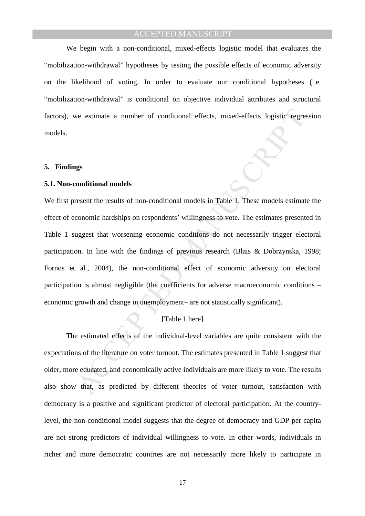We begin with a non-conditional, mixed-effects logistic model that evaluates the "mobilization-withdrawal" hypotheses by testing the possible effects of economic adversity on the likelihood of voting. In order to evaluate our conditional hypotheses (i.e. "mobilization-withdrawal" is conditional on objective individual attributes and structural factors), we estimate a number of conditional effects, mixed-effects logistic regression models.

#### **5. Findings**

#### **5.1. Non-conditional models**

is estimate a number of conditional effects, mixed-effects logistic regre<br>
graditional models<br>
essent the results of non-conditional models in Table 1. These models estimate<br>
conomic hardships on respondents' willingness t We first present the results of non-conditional models in Table 1. These models estimate the effect of economic hardships on respondents' willingness to vote. The estimates presented in Table 1 suggest that worsening economic conditions do not necessarily trigger electoral participation. In line with the findings of previous research (Blais & Dobrzynska, 1998; Fornos et al., 2004), the non-conditional effect of economic adversity on electoral participation is almost negligible (the coefficients for adverse macroeconomic conditions – economic growth and change in unemployment– are not statistically significant).

## [Table 1 here]

The estimated effects of the individual-level variables are quite consistent with the expectations of the literature on voter turnout. The estimates presented in Table 1 suggest that older, more educated, and economically active individuals are more likely to vote. The results also show that, as predicted by different theories of voter turnout, satisfaction with democracy is a positive and significant predictor of electoral participation. At the countrylevel, the non-conditional model suggests that the degree of democracy and GDP per capita are not strong predictors of individual willingness to vote. In other words, individuals in richer and more democratic countries are not necessarily more likely to participate in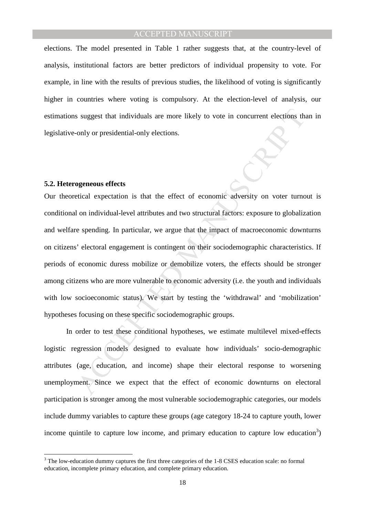elections. The model presented in Table 1 rather suggests that, at the country-level of analysis, institutional factors are better predictors of individual propensity to vote. For example, in line with the results of previous studies, the likelihood of voting is significantly higher in countries where voting is compulsory. At the election-level of analysis, our estimations suggest that individuals are more likely to vote in concurrent elections than in legislative-only or presidential-only elections.

#### **5.2. Heterogeneous effects**

s suggest that individuals are more likely to vote in concurrent elections the<br>only or presidential-only elections.<br>
Moreology of the computer and two structural factors: exposure to globaliz<br>
a lon individual-level autrib Our theoretical expectation is that the effect of economic adversity on voter turnout is conditional on individual-level attributes and two structural factors: exposure to globalization and welfare spending. In particular, we argue that the impact of macroeconomic downturns on citizens' electoral engagement is contingent on their sociodemographic characteristics. If periods of economic duress mobilize or demobilize voters, the effects should be stronger among citizens who are more vulnerable to economic adversity (i.e. the youth and individuals with low socioeconomic status). We start by testing the 'withdrawal' and 'mobilization' hypotheses focusing on these specific sociodemographic groups.

In order to test these conditional hypotheses, we estimate multilevel mixed-effects logistic regression models designed to evaluate how individuals' socio-demographic attributes (age, education, and income) shape their electoral response to worsening unemployment. Since we expect that the effect of economic downturns on electoral participation is stronger among the most vulnerable sociodemographic categories, our models include dummy variables to capture these groups (age category 18-24 to capture youth, lower income quintile to capture low income, and primary education to capture low education<sup>3</sup>)

<sup>&</sup>lt;sup>3</sup> The low-education dummy captures the first three categories of the 1-8 CSES education scale: no formal education, incomplete primary education, and complete primary education.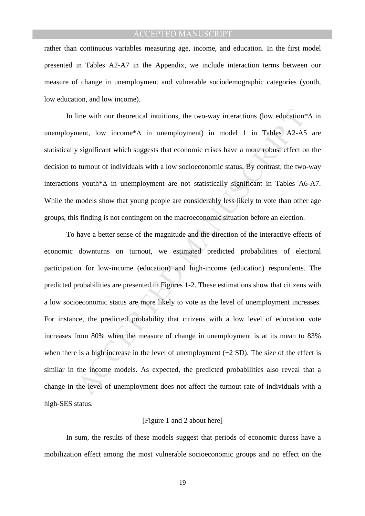rather than continuous variables measuring age, income, and education. In the first model presented in Tables A2-A7 in the Appendix, we include interaction terms between our measure of change in unemployment and vulnerable sociodemographic categories (youth, low education, and low income).

In line with our theoretical intuitions, the two-way interactions (low education\*∆ in unemployment, low income\* $\Delta$  in unemployment) in model 1 in Tables A2-A5 are statistically significant which suggests that economic crises have a more robust effect on the decision to turnout of individuals with a low socioeconomic status. By contrast, the two-way interactions youth\*∆ in unemployment are not statistically significant in Tables A6-A7. While the models show that young people are considerably less likely to vote than other age groups, this finding is not contingent on the macroeconomic situation before an election.

line with our theoretical intuitions, the two-way interactions (low education<sup>s</sup><br>nent, low income\* $\Delta$  in unemployment) in model 1 in Tables A2-A5<br>significant which suggests that economic crises have a more robust effect To have a better sense of the magnitude and the direction of the interactive effects of economic downturns on turnout, we estimated predicted probabilities of electoral participation for low-income (education) and high-income (education) respondents. The predicted probabilities are presented in Figures 1-2. These estimations show that citizens with a low socioeconomic status are more likely to vote as the level of unemployment increases. For instance, the predicted probability that citizens with a low level of education vote increases from 80% when the measure of change in unemployment is at its mean to 83% when there is a high increase in the level of unemployment  $(+2 S D)$ . The size of the effect is similar in the income models. As expected, the predicted probabilities also reveal that a change in the level of unemployment does not affect the turnout rate of individuals with a high-SES status.

#### [Figure 1 and 2 about here]

In sum, the results of these models suggest that periods of economic duress have a mobilization effect among the most vulnerable socioeconomic groups and no effect on the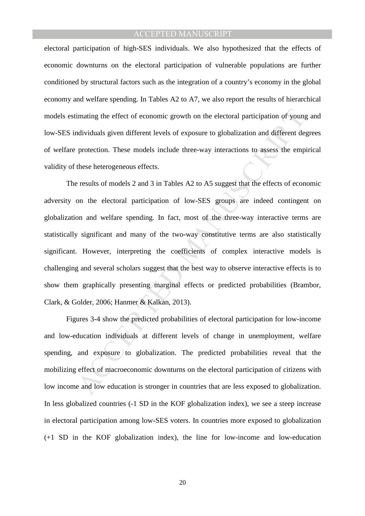electoral participation of high-SES individuals. We also hypothesized that the effects of economic downturns on the electoral participation of vulnerable populations are further conditioned by structural factors such as the integration of a country's economy in the global economy and welfare spending. In Tables A2 to A7, we also report the results of hierarchical models estimating the effect of economic growth on the electoral participation of young and low-SES individuals given different levels of exposure to globalization and different degrees of welfare protection. These models include three-way interactions to assess the empirical validity of these heterogeneous effects.

imating the effect of economic growth on the electoral participation of young<br>dividuals given different levels of exposure to globalization and different de<br>protection. These models include three-way interactions to assess The results of models 2 and 3 in Tables A2 to A5 suggest that the effects of economic adversity on the electoral participation of low-SES groups are indeed contingent on globalization and welfare spending. In fact, most of the three-way interactive terms are statistically significant and many of the two-way constitutive terms are also statistically significant. However, interpreting the coefficients of complex interactive models is challenging and several scholars suggest that the best way to observe interactive effects is to show them graphically presenting marginal effects or predicted probabilities (Brambor, Clark, & Golder, 2006; Hanmer & Kalkan, 2013).

Figures 3-4 show the predicted probabilities of electoral participation for low-income and low-education individuals at different levels of change in unemployment, welfare spending, and exposure to globalization. The predicted probabilities reveal that the mobilizing effect of macroeconomic downturns on the electoral participation of citizens with low income and low education is stronger in countries that are less exposed to globalization. In less globalized countries (-1 SD in the KOF globalization index), we see a steep increase in electoral participation among low-SES voters. In countries more exposed to globalization (+1 SD in the KOF globalization index), the line for low-income and low-education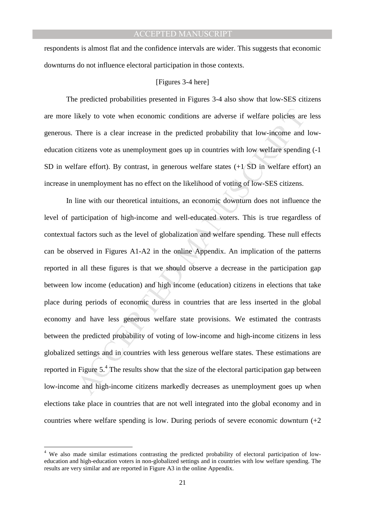respondents is almost flat and the confidence intervals are wider. This suggests that economic downturns do not influence electoral participation in those contexts.

#### [Figures 3-4 here]

The predicted probabilities presented in Figures 3-4 also show that low-SES citizens are more likely to vote when economic conditions are adverse if welfare policies are less generous. There is a clear increase in the predicted probability that low-income and loweducation citizens vote as unemployment goes up in countries with low welfare spending (-1 SD in welfare effort). By contrast, in generous welfare states (+1 SD in welfare effort) an increase in unemployment has no effect on the likelihood of voting of low-SES citizens.

ikely to vote when economic conditions are adverse if welfare policies are<br>There is a clear increase in the predicted probability that low-income and<br>citizens vote as unemployment goes up in countries with low welfare spen In line with our theoretical intuitions, an economic downturn does not influence the level of participation of high-income and well-educated voters. This is true regardless of contextual factors such as the level of globalization and welfare spending. These null effects can be observed in Figures A1-A2 in the online Appendix. An implication of the patterns reported in all these figures is that we should observe a decrease in the participation gap between low income (education) and high income (education) citizens in elections that take place during periods of economic duress in countries that are less inserted in the global economy and have less generous welfare state provisions. We estimated the contrasts between the predicted probability of voting of low-income and high-income citizens in less globalized settings and in countries with less generous welfare states. These estimations are reported in Figure  $5<sup>4</sup>$ . The results show that the size of the electoral participation gap between low-income and high-income citizens markedly decreases as unemployment goes up when elections take place in countries that are not well integrated into the global economy and in countries where welfare spending is low. During periods of severe economic downturn  $(+2)$ 

 $\overline{a}$ 

<sup>&</sup>lt;sup>4</sup> We also made similar estimations contrasting the predicted probability of electoral participation of loweducation and high-education voters in non-globalized settings and in countries with low welfare spending. The results are very similar and are reported in Figure A3 in the online Appendix.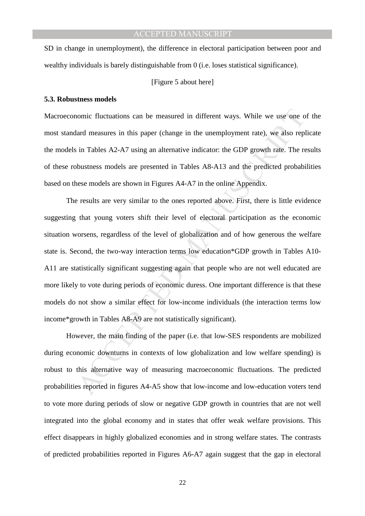SD in change in unemployment), the difference in electoral participation between poor and wealthy individuals is barely distinguishable from 0 (i.e. loses statistical significance).

#### [Figure 5 about here]

#### **5.3. Robustness models**

Macroeconomic fluctuations can be measured in different ways. While we use one of the most standard measures in this paper (change in the unemployment rate), we also replicate the models in Tables A2-A7 using an alternative indicator: the GDP growth rate. The results of these robustness models are presented in Tables A8-A13 and the predicted probabilities based on these models are shown in Figures A4-A7 in the online Appendix.

nomic fluctuations can be measured in different ways. While we use one of<br>and measures in this paper (change in the unemployment rate), we also repl<br>in Tables A2-A7 using an alternative indicator: the GDP growth rate. The The results are very similar to the ones reported above. First, there is little evidence suggesting that young voters shift their level of electoral participation as the economic situation worsens, regardless of the level of globalization and of how generous the welfare state is. Second, the two-way interaction terms low education\*GDP growth in Tables A10- A11 are statistically significant suggesting again that people who are not well educated are more likely to vote during periods of economic duress. One important difference is that these models do not show a similar effect for low-income individuals (the interaction terms low income\*growth in Tables A8-A9 are not statistically significant).

 However, the main finding of the paper (i.e. that low-SES respondents are mobilized during economic downturns in contexts of low globalization and low welfare spending) is robust to this alternative way of measuring macroeconomic fluctuations. The predicted probabilities reported in figures A4-A5 show that low-income and low-education voters tend to vote more during periods of slow or negative GDP growth in countries that are not well integrated into the global economy and in states that offer weak welfare provisions. This effect disappears in highly globalized economies and in strong welfare states. The contrasts of predicted probabilities reported in Figures A6-A7 again suggest that the gap in electoral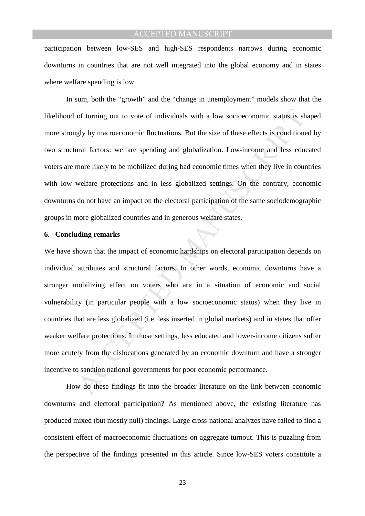participation between low-SES and high-SES respondents narrows during economic downturns in countries that are not well integrated into the global economy and in states where welfare spending is low.

 In sum, both the "growth" and the "change in unemployment" models show that the likelihood of turning out to vote of individuals with a low socioeconomic status is shaped more strongly by macroeconomic fluctuations. But the size of these effects is conditioned by two structural factors: welfare spending and globalization. Low-income and less educated voters are more likely to be mobilized during bad economic times when they live in countries with low welfare protections and in less globalized settings. On the contrary, economic downturns do not have an impact on the electoral participation of the same sociodemographic groups in more globalized countries and in generous welfare states.

#### **6. Concluding remarks**

of turning out to vote of individuals with a low socioeconomic status is shely by macroeconomic fluctuations. But the size of these effects is conditione ural factors: welfare spending and globalization. Low-income and les We have shown that the impact of economic hardships on electoral participation depends on individual attributes and structural factors. In other words, economic downturns have a stronger mobilizing effect on voters who are in a situation of economic and social vulnerability (in particular people with a low socioeconomic status) when they live in countries that are less globalized (i.e. less inserted in global markets) and in states that offer weaker welfare protections. In those settings, less educated and lower-income citizens suffer more acutely from the dislocations generated by an economic downturn and have a stronger incentive to sanction national governments for poor economic performance.

How do these findings fit into the broader literature on the link between economic downturns and electoral participation? As mentioned above, the existing literature has produced mixed (but mostly null) findings. Large cross-national analyzes have failed to find a consistent effect of macroeconomic fluctuations on aggregate turnout. This is puzzling from the perspective of the findings presented in this article. Since low-SES voters constitute a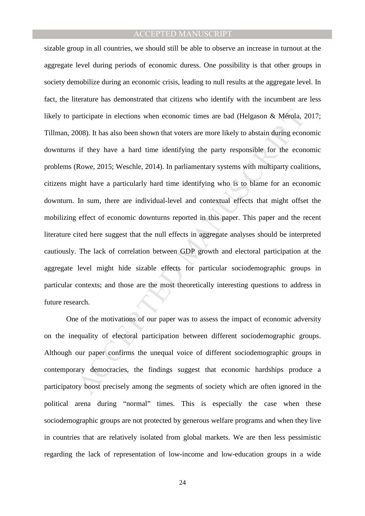articipate in elections when economic times are bad (Helgason & Mérola, 2008). It has also been shown that voters are more likely to abstain during econ if they have a hard time identifying the party responsible for the ec sizable group in all countries, we should still be able to observe an increase in turnout at the aggregate level during periods of economic duress. One possibility is that other groups in society demobilize during an economic crisis, leading to null results at the aggregate level. In fact, the literature has demonstrated that citizens who identify with the incumbent are less likely to participate in elections when economic times are bad (Helgason & Mérola, 2017; Tillman, 2008). It has also been shown that voters are more likely to abstain during economic downturns if they have a hard time identifying the party responsible for the economic problems (Rowe, 2015; Weschle, 2014). In parliamentary systems with multiparty coalitions, citizens might have a particularly hard time identifying who is to blame for an economic downturn. In sum, there are individual-level and contextual effects that might offset the mobilizing effect of economic downturns reported in this paper. This paper and the recent literature cited here suggest that the null effects in aggregate analyses should be interpreted cautiously. The lack of correlation between GDP growth and electoral participation at the aggregate level might hide sizable effects for particular sociodemographic groups in particular contexts; and those are the most theoretically interesting questions to address in future research.

One of the motivations of our paper was to assess the impact of economic adversity on the inequality of electoral participation between different sociodemographic groups. Although our paper confirms the unequal voice of different sociodemographic groups in contemporary democracies, the findings suggest that economic hardships produce a participatory boost precisely among the segments of society which are often ignored in the political arena during "normal" times. This is especially the case when these sociodemographic groups are not protected by generous welfare programs and when they live in countries that are relatively isolated from global markets. We are then less pessimistic regarding the lack of representation of low-income and low-education groups in a wide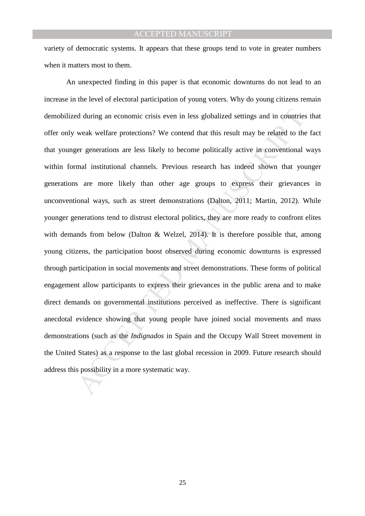variety of democratic systems. It appears that these groups tend to vote in greater numbers when it matters most to them.

d during an economic crisis even in less globalized settings and in countries<br>weak welfare protections? We contend that this result may be related to the<br>re generations are less likely to become politically active in conve An unexpected finding in this paper is that economic downturns do not lead to an increase in the level of electoral participation of young voters. Why do young citizens remain demobilized during an economic crisis even in less globalized settings and in countries that offer only weak welfare protections? We contend that this result may be related to the fact that younger generations are less likely to become politically active in conventional ways within formal institutional channels. Previous research has indeed shown that younger generations are more likely than other age groups to express their grievances in unconventional ways, such as street demonstrations (Dalton, 2011; Martin, 2012). While younger generations tend to distrust electoral politics, they are more ready to confront elites with demands from below (Dalton & Welzel, 2014). It is therefore possible that, among young citizens, the participation boost observed during economic downturns is expressed through participation in social movements and street demonstrations. These forms of political engagement allow participants to express their grievances in the public arena and to make direct demands on governmental institutions perceived as ineffective. There is significant anecdotal evidence showing that young people have joined social movements and mass demonstrations (such as the *Indignados* in Spain and the Occupy Wall Street movement in the United States) as a response to the last global recession in 2009. Future research should address this possibility in a more systematic way.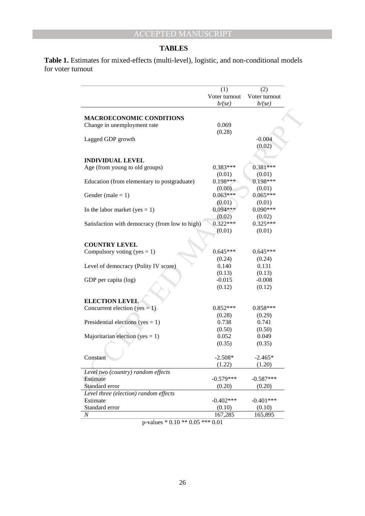#### **TABLES**

**Table 1.** Estimates for mixed-effects (multi-level), logistic, and non-conditional models for voter turnout

|                                                | (1)<br>Voter turnout<br>b/(se) | (2)<br>Voter turnout<br>b/(se) |
|------------------------------------------------|--------------------------------|--------------------------------|
|                                                |                                |                                |
|                                                |                                |                                |
| <b>MACROECONOMIC CONDITIONS</b>                |                                |                                |
|                                                | 0.069                          |                                |
| Change in unemployment rate                    |                                |                                |
| Lagged GDP growth                              | (0.28)                         | $-0.004$                       |
|                                                |                                |                                |
|                                                |                                | (0.02)                         |
| <b>INDIVIDUAL LEVEL</b>                        |                                |                                |
| Age (from young to old groups)                 | $0.383***$                     | $0.381***$                     |
|                                                | (0.01)                         | (0.01)                         |
| Education (from elementary to postgraduate)    | $0.198***$                     | $0.198***$                     |
|                                                | (0.00)                         | (0.01)                         |
| Gender (male $= 1$ )                           | $0.063***$                     | $0.065***$                     |
|                                                | (0.01)                         | (0.01)                         |
| In the labor market (yes $= 1$ )               | $0.094***$                     | $0.090***$                     |
|                                                | (0.02)                         | (0.02)                         |
| Satisfaction with democracy (from low to high) | $0.322***$                     | $0.325***$                     |
|                                                | (0.01)                         | (0.01)                         |
|                                                |                                |                                |
| <b>COUNTRY LEVEL</b>                           |                                |                                |
| Compulsory voting (yes = 1)                    | $0.645***$                     | $0.645***$                     |
|                                                | (0.24)                         | (0.24)                         |
| Level of democracy (Polity IV score)           | 0.140                          | 0.131                          |
|                                                | (0.13)                         | (0.13)                         |
| GDP per capita (log)                           | $-0.015$                       | $-0.008$                       |
|                                                | (0.12)                         | (0.12)                         |
| <b>ELECTION LEVEL</b>                          |                                |                                |
| Concurrent election ( $yes = 1$ )              | $0.852***$                     | $0.858***$                     |
|                                                | (0.28)                         | (0.29)                         |
| Presidential elections (yes = $1$ )            | 0.738                          | 0.741                          |
|                                                | (0.50)                         | (0.50)                         |
| Majoritarian election (yes = 1)                | 0.052                          | 0.049                          |
|                                                | (0.35)                         | (0.35)                         |
|                                                |                                |                                |
| Constant                                       | $-2.508*$                      | $-2.465*$                      |
|                                                | (1.22)                         | (1.20)                         |
| Level two (country) random effects             |                                |                                |
| Estimate                                       | $-0.579***$                    | $-0.587***$                    |
| Standard error                                 | (0.20)                         | (0.20)                         |
| Level three (election) random effects          |                                |                                |
| Estimate                                       | $-0.402***$                    | $-0.401***$                    |
|                                                |                                |                                |
| Standard error                                 | (0.10)                         | (0.10)                         |

p-values \* 0.10 \*\* 0.05 \*\*\* 0.01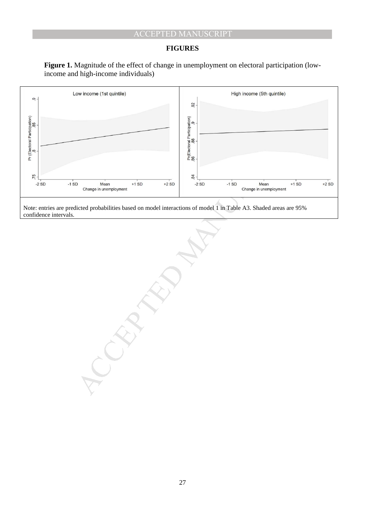## **FIGURES**





confidence intervals.

27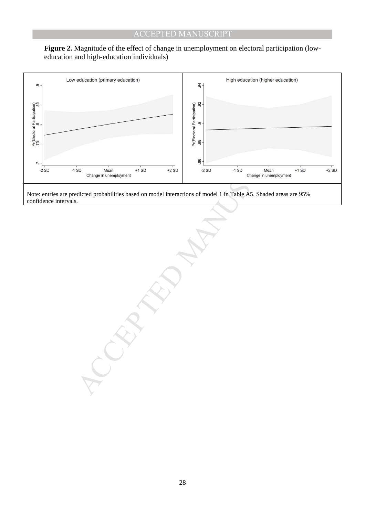



confidence intervals.

28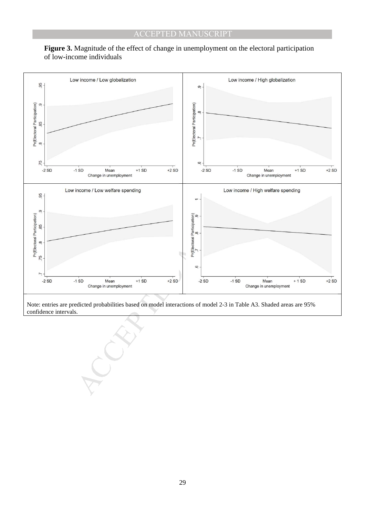

# **Figure 3.** Magnitude of the effect of change in unemployment on the electoral participation of low-income individuals

Note: entries are predicted probabilities based on model interactions of model 2-3 in Table A3. Shaded areas are 95% confidence intervals.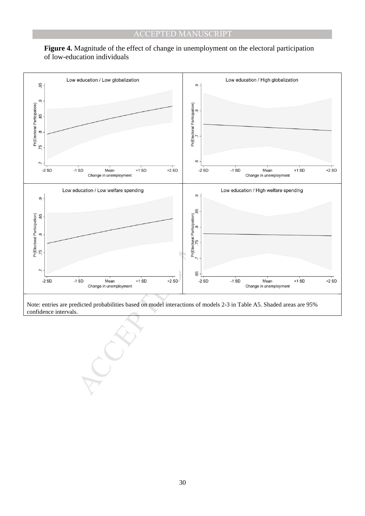

# **Figure 4.** Magnitude of the effect of change in unemployment on the electoral participation of low-education individuals

Note: entries are predicted probabilities based on model interactions of models 2-3 in Table A5. Shaded areas are 95% confidence intervals.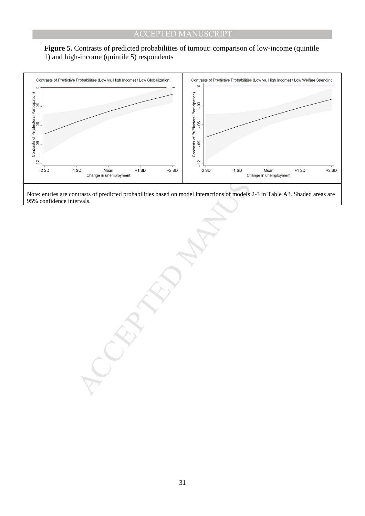



95% confidence intervals.

31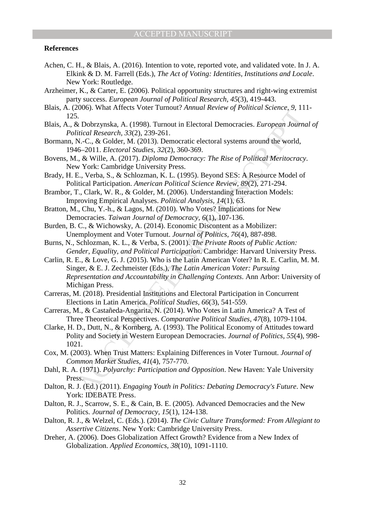#### **References**

- Achen, C. H., & Blais, A. (2016). Intention to vote, reported vote, and validated vote. In J. A. Elkink & D. M. Farrell (Eds.), *The Act of Voting: Identities, Institutions and Locale*. New York: Routledge.
- Arzheimer, K., & Carter, E. (2006). Political opportunity structures and right-wing extremist party success. *European Journal of Political Research, 45*(3), 419-443.
- Blais, A. (2006). What Affects Voter Turnout? *Annual Review of Political Science, 9*, 111- 125.
- Blais, A., & Dobrzynska, A. (1998). Turnout in Electoral Democracies. *European Journal of Political Research, 33*(2), 239-261.
- Bormann, N.-C., & Golder, M. (2013). Democratic electoral systems around the world, 1946–2011. *Electoral Studies, 32*(2), 360-369.
- Bovens, M., & Wille, A. (2017). *Diploma Democracy: The Rise of Political Meritocracy*. New York: Cambridge University Press.
- Brady, H. E., Verba, S., & Schlozman, K. L. (1995). Beyond SES: A Resource Model of Political Participation. *American Political Science Review, 89*(2), 271-294.
- Brambor, T., Clark, W. R., & Golder, M. (2006). Understanding Interaction Models: Improving Empirical Analyses. *Political Analysis, 14*(1), 63.
- Bratton, M., Chu, Y.-h., & Lagos, M. (2010). Who Votes? Implications for New Democracies. *Taiwan Journal of Democracy, 6*(1), 107-136.
- Burden, B. C., & Wichowsky, A. (2014). Economic Discontent as a Mobilizer: Unemployment and Voter Turnout. *Journal of Politics, 76*(4), 887-898.
- Burns, N., Schlozman, K. L., & Verba, S. (2001). *The Private Roots of Public Action: Gender, Equality, and Political Participation*. Cambridge: Harvard University Press.
- Co., What Affects Voter 1 unitotit? Annihat Review of Political science, 9, 11<br>
S. Dobrzynska, A. (1998). Tumout in Electoral Democracies. *European Jounn*<br>
N.C., & Golder, M. (2013). Democratic electoral systems around th Carlin, R. E., & Love, G. J. (2015). Who is the Latin American Voter? In R. E. Carlin, M. M. Singer, & E. J. Zechmeister (Eds.), *The Latin American Voter: Pursuing Representation and Accountability in Challenging Contexts*. Ann Arbor: University of Michigan Press.
- Carreras, M. (2018). Presidential Institutions and Electoral Participation in Concurrent Elections in Latin America. *Political Studies, 66*(3), 541-559.
- Carreras, M., & Castañeda-Angarita, N. (2014). Who Votes in Latin America? A Test of Three Theoretical Perspectives. *Comparative Political Studies, 47*(8), 1079-1104.
- Clarke, H. D., Dutt, N., & Kornberg, A. (1993). The Political Economy of Attitudes toward Polity and Society in Western European Democracies. *Journal of Politics, 55*(4), 998- 1021.
- Cox, M. (2003). When Trust Matters: Explaining Differences in Voter Turnout. *Journal of Common Market Studies, 41*(4), 757-770.
- Dahl, R. A. (1971). *Polyarchy: Participation and Opposition*. New Haven: Yale University Press.
- Dalton, R. J. (Ed.) (2011). *Engaging Youth in Politics: Debating Democracy's Future*. New York: IDEBATE Press.
- Dalton, R. J., Scarrow, S. E., & Cain, B. E. (2005). Advanced Democracies and the New Politics. *Journal of Democracy, 15*(1), 124-138.
- Dalton, R. J., & Welzel, C. (Eds.). (2014). *The Civic Culture Transformed: From Allegiant to Assertive Citizens*. New York: Cambridge University Press.
- Dreher, A. (2006). Does Globalization Affect Growth? Evidence from a New Index of Globalization. *Applied Economics, 38*(10), 1091-1110.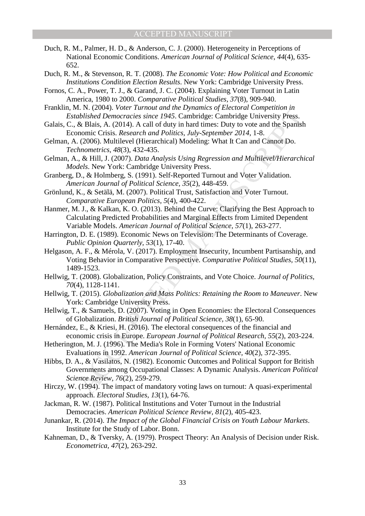- Duch, R. M., Palmer, H. D., & Anderson, C. J. (2000). Heterogeneity in Perceptions of National Economic Conditions. *American Journal of Political Science, 44*(4), 635- 652.
- Duch, R. M., & Stevenson, R. T. (2008). *The Economic Vote: How Political and Economic Institutions Condition Election Results*. New York: Cambridge University Press.
- Fornos, C. A., Power, T. J., & Garand, J. C. (2004). Explaining Voter Turnout in Latin America, 1980 to 2000. *Comparative Political Studies, 37*(8), 909-940.
- Franklin, M. N. (2004). *Voter Turnout and the Dynamics of Electoral Competition in Established Democracies since 1945*. Cambridge: Cambridge University Press.
- Galais, C., & Blais, A. (2014). A call of duty in hard times: Duty to vote and the Spanish Economic Crisis. *Research and Politics, July-September 2014*, 1-8.
- Gelman, A. (2006). Multilevel (Hierarchical) Modeling: What It Can and Cannot Do. *Technometrics, 48*(3), 432-435.
- Gelman, A., & Hill, J. (2007). *Data Analysis Using Regression and Multilevel/Hierarchical Models*. New York: Cambridge University Press.
- Granberg, D., & Holmberg, S. (1991). Self-Reported Turnout and Voter Validation. *American Journal of Political Science, 35*(2), 448-459.
- Grönlund, K., & Setälä, M. (2007). Political Trust, Satisfaction and Voter Turnout. *Comparative European Politics, 5*(4), 400-422.
- Hanmer, M. J., & Kalkan, K. O. (2013). Behind the Curve: Clarifying the Best Approach to Calculating Predicted Probabilities and Marginal Effects from Limited Dependent Variable Models. *American Journal of Political Science, 57*(1), 263-277.
- Harrington, D. E. (1989). Economic News on Television: The Determinants of Coverage. *Public Opinion Quarterly, 53*(1), 17-40.
- 1. v. (2004). Volet Patriotal and the Dynamtes of prelibratic Conpention the Discretical Conditioned Considers as the Basis. A. (2014). A call of duy in hard times: Duy to vete and the Spanish considers Research and Polit Helgason, A. F., & Mérola, V. (2017). Employment Insecurity, Incumbent Partisanship, and Voting Behavior in Comparative Perspective. *Comparative Political Studies, 50*(11), 1489-1523.
- Hellwig, T. (2008). Globalization, Policy Constraints, and Vote Choice. *Journal of Politics, 70*(4), 1128-1141.
- Hellwig, T. (2015). *Globalization and Mass Politics: Retaining the Room to Maneuver*. New York: Cambridge University Press.
- Hellwig, T., & Samuels, D. (2007). Voting in Open Economies: the Electoral Consequences of Globalization. *British Journal of Political Science, 38*(1), 65-90.
- Hernández, E., & Kriesi, H. (2016). The electoral consequences of the financial and economic crisis in Europe. *European Journal of Political Research, 55*(2), 203-224.
- Hetherington, M. J. (1996). The Media's Role in Forming Voters' National Economic Evaluations in 1992. *American Journal of Political Science, 40*(2), 372-395.
- Hibbs, D. A., & Vasilatos, N. (1982). Economic Outcomes and Political Support for British Governments among Occupational Classes: A Dynamic Analysis. *American Political Science Review, 76*(2), 259-279.
- Hirczy, W. (1994). The impact of mandatory voting laws on turnout: A quasi-experimental approach. *Electoral Studies, 13*(1), 64-76.
- Jackman, R. W. (1987). Political Institutions and Voter Turnout in the Industrial Democracies. *American Political Science Review, 81*(2), 405-423.
- Junankar, R. (2014). *The Impact of the Global Financial Crisis on Youth Labour Markets*. Institute for the Study of Labor. Bonn.
- Kahneman, D., & Tversky, A. (1979). Prospect Theory: An Analysis of Decision under Risk. *Econometrica, 47*(2), 263-292.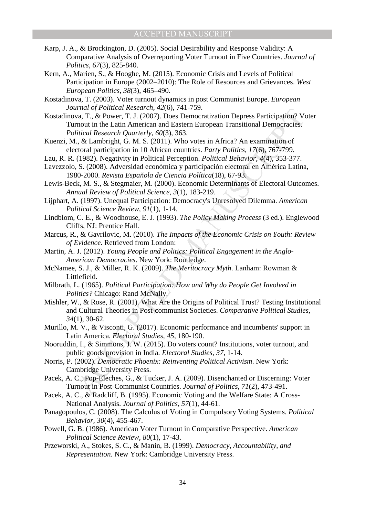- Karp, J. A., & Brockington, D. (2005). Social Desirability and Response Validity: A Comparative Analysis of Overreporting Voter Turnout in Five Countries. *Journal of Politics, 67*(3), 825-840.
- Kern, A., Marien, S., & Hooghe, M. (2015). Economic Crisis and Levels of Political Participation in Europe (2002–2010): The Role of Resources and Grievances. *West European Politics, 38*(3), 465–490.

Kostadinova, T. (2003). Voter turnout dynamics in post Communist Europe. *European Journal of Political Research, 42*(6), 741-759.

Franco of Promiecular Research, 42(0), 144-759.<br>
That of Promiecular Research Access Participation? Via The Research Quarterly, 60(3), Does Democratization Depress Participation? Via The Research Quarterly, 60(3), 363.<br>
W Kostadinova, T., & Power, T. J. (2007). Does Democratization Depress Participation? Voter Turnout in the Latin American and Eastern European Transitional Democracies. *Political Research Quarterly, 60*(3), 363.

- Kuenzi, M., & Lambright, G. M. S. (2011). Who votes in Africa? An examination of electoral participation in 10 African countries. *Party Politics, 17*(6), 767-799.
- Lau, R. R. (1982). Negativity in Political Perception. *Political Behavior, 4*(4), 353-377.
- Lavezzolo, S. (2008). Adversidad económica y participación electoral en América Latina, 1980-2000. *Revista Española de Ciencia Política*(18), 67-93.

Lewis-Beck, M. S., & Stegmaier, M. (2000). Economic Determinants of Electoral Outcomes. *Annual Review of Political Science, 3*(1), 183-219.

Lijphart, A. (1997). Unequal Participation: Democracy's Unresolved Dilemma. *American Political Science Review, 91*(1), 1-14.

- Lindblom, C. E., & Woodhouse, E. J. (1993). *The Policy Making Process* (3 ed.). Englewood Cliffs, NJ: Prentice Hall.
- Marcus, R., & Gavrilovic, M. (2010). *The Impacts of the Economic Crisis on Youth: Review of Evidence*. Retrieved from London:
- Martin, A. J. (2012). *Young People and Politics: Political Engagement in the Anglo-American Democracies*. New York: Routledge.
- McNamee, S. J., & Miller, R. K. (2009). *The Meritocracy Myth*. Lanham: Rowman & Littlefield.
- Milbrath, L. (1965). *Political Participation: How and Why do People Get Involved in Politics?* Chicago: Rand McNally.
- Mishler, W., & Rose, R. (2001). What Are the Origins of Political Trust? Testing Institutional and Cultural Theories in Post-communist Societies. *Comparative Political Studies, 34*(1), 30-62.
- Murillo, M. V., & Visconti, G. (2017). Economic performance and incumbents' support in Latin America. *Electoral Studies, 45*, 180-190.
- Nooruddin, I., & Simmons, J. W. (2015). Do voters count? Institutions, voter turnout, and public goods provision in India. *Electoral Studies, 37*, 1-14.
- Norris, P. (2002). *Democratic Phoenix: Reinventing Political Activism*. New York: Cambridge University Press.
- Pacek, A. C., Pop-Eleches, G., & Tucker, J. A. (2009). Disenchanted or Discerning: Voter Turnout in Post-Communist Countries. *Journal of Politics, 71*(2), 473-491.
- Pacek, A. C., & Radcliff, B. (1995). Economic Voting and the Welfare State: A Cross-National Analysis. *Journal of Politics, 57*(1), 44-61.
- Panagopoulos, C. (2008). The Calculus of Voting in Compulsory Voting Systems. *Political Behavior, 30*(4), 455-467.
- Powell, G. B. (1986). American Voter Turnout in Comparative Perspective. *American Political Science Review, 80*(1), 17-43.
- Przeworski, A., Stokes, S. C., & Manin, B. (1999). *Democracy, Accountability, and Representation*. New York: Cambridge University Press.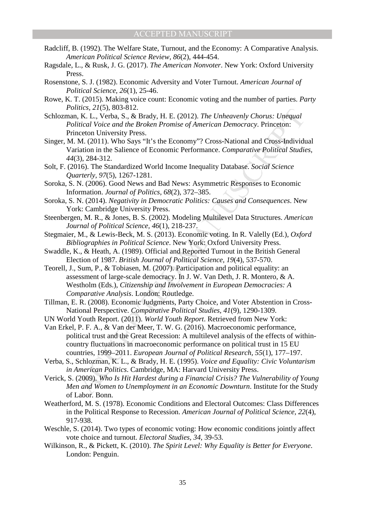- Radcliff, B. (1992). The Welfare State, Turnout, and the Economy: A Comparative Analysis. *American Political Science Review, 86*(2), 444-454.
- Ragsdale, L., & Rusk, J. G. (2017). *The American Nonvoter*. New York: Oxford University Press.
- Rosenstone, S. J. (1982). Economic Adversity and Voter Turnout. *American Journal of Political Science, 26*(1), 25-46.
- Rowe, K. T. (2015). Making voice count: Economic voting and the number of parties. *Party Politics, 21*(5), 803-812.
- Schlozman, K. L., Verba, S., & Brady, H. E. (2012). *The Unheavenly Chorus: Unequal Political Voice and the Broken Promise of American Democracy*. Princeton: Princeton University Press.
- Singer, M. M. (2011). Who Says "It's the Economy"? Cross-National and Cross-Individual Variation in the Salience of Economic Performance. *Comparative Political Studies, 44*(3), 284-312.
- Solt, F. (2016). The Standardized World Income Inequality Database. *Social Science Quarterly, 97*(5), 1267-1281.
- Soroka, S. N. (2006). Good News and Bad News: Asymmetric Responses to Economic Information. *Journal of Politics, 68*(2), 372–385.
- Soroka, S. N. (2014). *Negativity in Democratic Politics: Causes and Consequences*. New York: Cambridge University Press.
- Steenbergen, M. R., & Jones, B. S. (2002). Modeling Multilevel Data Structures. *American Journal of Political Science, 46*(1), 218-237.
- Stegmaier, M., & Lewis-Beck, M. S. (2013). Economic voting. In R. Valelly (Ed.), *Oxford Bibliographies in Political Science*. New York: Oxford University Press.
- Swaddle, K., & Heath, A. (1989). Official and Reported Turnout in the British General Election of 1987. *British Journal of Political Science, 19*(4), 537-570.
- Teorell, J., Sum, P., & Tobiasen, M. (2007). Participation and political equality: an assessment of large-scale democracy. In J. W. Van Deth, J. R. Montero, & A. Westholm (Eds.), *Citizenship and Involvement in European Democracies: A Comparative Analysis*. London: Routledge.
- Tillman, E. R. (2008). Economic Judgments, Party Choice, and Voter Abstention in Cross-National Perspective. *Comparative Political Studies, 41*(9), 1290-1309.
- UN World Youth Report. (2011). *World Youth Report*. Retrieved from New York:
- Integrals. 2103, 805-012.<br>
LEE (2012). The Unheavently Chorus: Unequal<br>
likical Voice and the Broken Promise of American Democracy. Princeton:<br>
Itical Voice and the Broken Promise of American Democracy. Princeton:<br>
M. (20 Van Erkel, P. F. A., & Van der Meer, T. W. G. (2016). Macroeconomic performance, political trust and the Great Recession: A multilevel analysis of the effects of withincountry fluctuations in macroeconomic performance on political trust in 15 EU countries, 1999–2011. *European Journal of Political Research, 55*(1), 177–197.
- Verba, S., Schlozman, K. L., & Brady, H. E. (1995). *Voice and Equality: Civic Voluntarism in American Politics*. Cambridge, MA: Harvard University Press.
- Verick, S. (2009). *Who Is Hit Hardest during a Financial Crisis? The Vulnerability of Young Men and Women to Unemployment in an Economic Downturn*. Institute for the Study of Labor. Bonn.
- Weatherford, M. S. (1978). Economic Conditions and Electoral Outcomes: Class Differences in the Political Response to Recession. *American Journal of Political Science, 22*(4), 917-938.
- Weschle, S. (2014). Two types of economic voting: How economic conditions jointly affect vote choice and turnout. *Electoral Studies, 34*, 39-53.
- Wilkinson, R., & Pickett, K. (2010). *The Spirit Level: Why Equality is Better for Everyone*. London: Penguin.